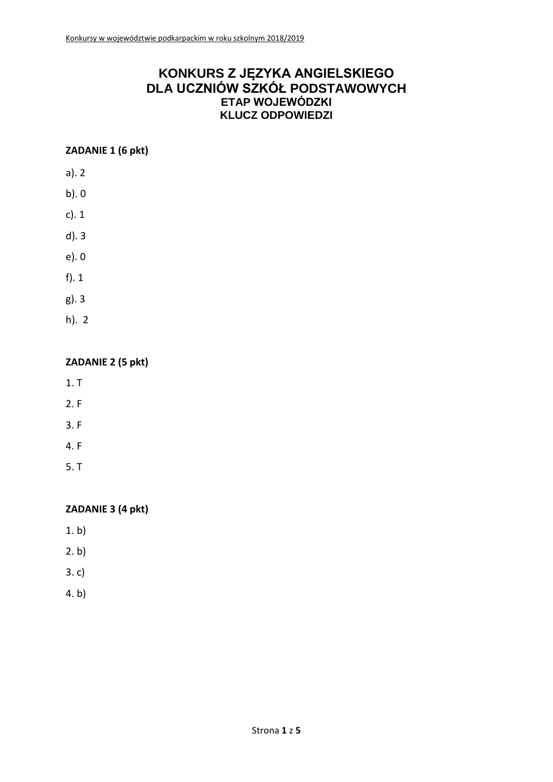# **KONKURS Z JĘZYKA ANGIELSKIEGO DLA UCZNIÓW SZKÓŁ PODSTAWOWYCH ETAP WOJEWÓDZKI KLUCZ ODPOWIEDZI**

### **ZADANIE 1 (6 pkt)**

- a). 2
- b). 0
- c). 1
- d). 3
- e). 0
- f). 1
- g). 3
- h). 2

### **ZADANIE 2 (5 pkt)**

- 1. T
- 2. F
- 3. F
- 4. F
- 5. T

# **ZADANIE 3 (4 pkt)**

- 1. b)
- 2. b)
- 3. c)
- 4. b)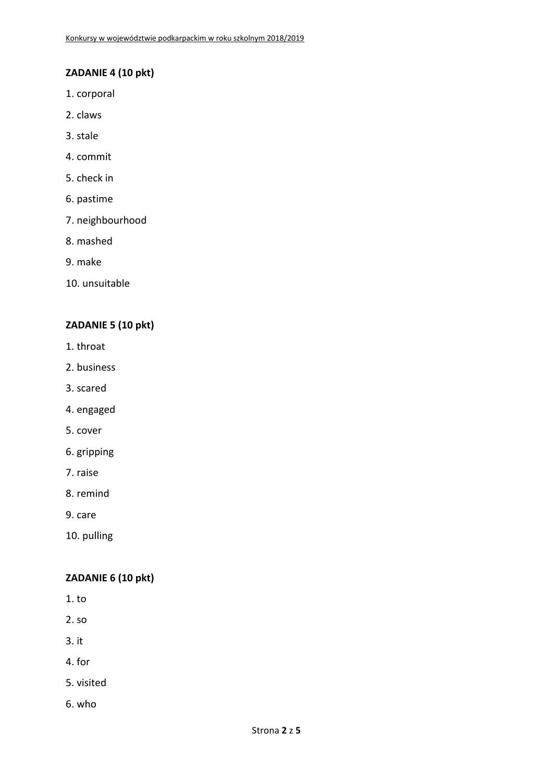# **ZADANIE 4 (10 pkt)**

- 1. corporal
- 2. claws
- 3. stale
- 4. commit
- 5. check in
- 6. pastime
- 7. neighbourhood
- 8. mashed
- 9. make
- 10. unsuitable

#### **ZADANIE 5 (10 pkt)**

- 1. throat
- 2. business
- 3. scared
- 4. engaged
- 5. cover
- 6. gripping
- 7. raise
- 8. remind
- 9. care
- 10. pulling

### **ZADANIE 6 (10 pkt)**

- 1. to
- 2. so
- 3. it
- 4. for
- 5. visited
- 6. who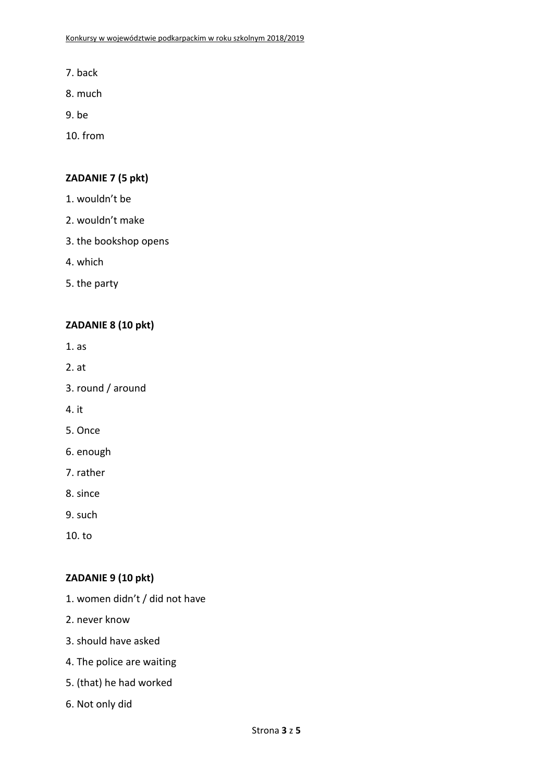- 7. back
- 8. much
- 9. be
- 10. from

#### **ZADANIE 7 (5 pkt)**

- 1. wouldn't be
- 2. wouldn't make
- 3. the bookshop opens
- 4. which
- 5. the party

#### **ZADANIE 8 (10 pkt)**

- 1. as
- 2. at
- 3. round / around
- 4. it
- 5. Once
- 6. enough
- 7. rather
- 8. since
- 9. such
- 10. to

### **ZADANIE 9 (10 pkt)**

- 1. women didn't / did not have
- 2. never know
- 3. should have asked
- 4. The police are waiting
- 5. (that) he had worked
- 6. Not only did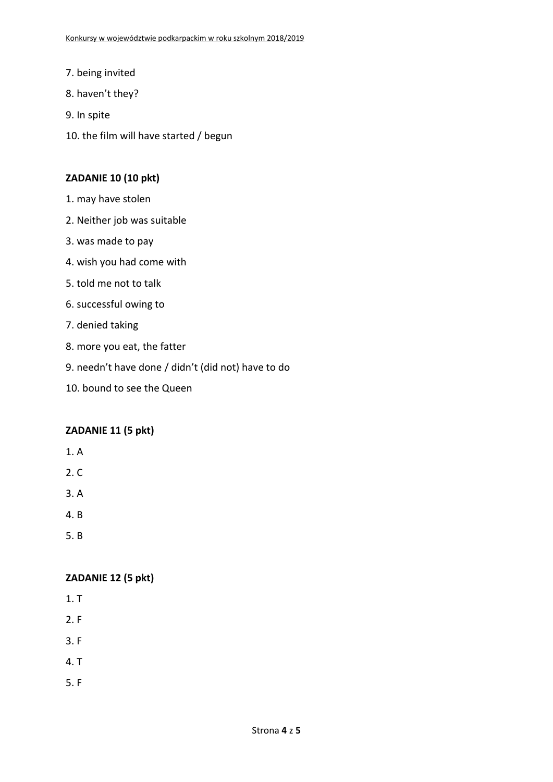- 7. being invited
- 8. haven't they?
- 9. In spite
- 10. the film will have started / begun

#### **ZADANIE 10 (10 pkt)**

- 1. may have stolen
- 2. Neither job was suitable
- 3. was made to pay
- 4. wish you had come with
- 5. told me not to talk
- 6. successful owing to
- 7. denied taking
- 8. more you eat, the fatter
- 9. needn't have done / didn't (did not) have to do
- 10. bound to see the Queen

#### **ZADANIE 11 (5 pkt)**

- 1. A
- 2. C
- 3. A
- 4. B
- 5. B

#### **ZADANIE 12 (5 pkt)**

- 1. T
- 2. F
- 3. F
- 4. T
- 5. F